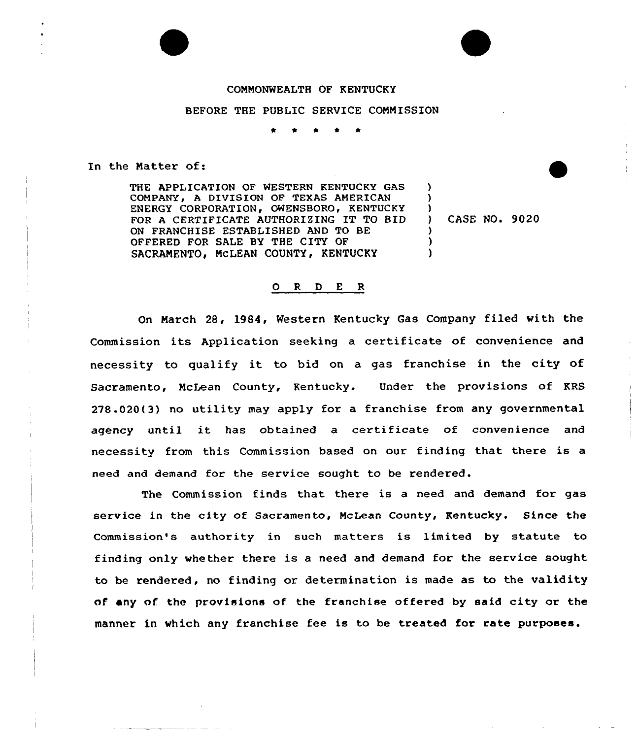## COMMONWEALTH OF KENTUCKY

## BEFORE THE PUBLIC SERVICE COMMISSION

In the Natter of:

THE APPLICATION OF WESTERN KENTUCKY GAS COMPANY, A DIVISION OF TEXAS AMERICAN ENERGY CORPORATION, OWENSBORO, KENTUCKY FOR A CERTIFICATE AUTHORIZING IT TO BID ON FRANCHISE ESTABLISHED AND TO BE OFFERED FOR SALE BY THE CITY OF SACRAMENTO, MCLEAN COUNTY, KENTUCKY

) CASE NO. 9020

) )  $\left\{ \right\}$ 

> ) ) )

## 0 <sup>R</sup> <sup>D</sup> E R

On March 28, 1984, Western Kentucky Gas Company filed with the Commission its Application seeking a certificate of convenience and necessity to qualify it to bid on <sup>a</sup> gas franchise in the city of Sacramento, NcLean County, Kentucky. Under the provisions of KRS 278.020(3) no utility may apply for a franchise from any governmental agency until it has obtained <sup>a</sup> certificate of convenience and necessity from this Commission based on our finding that there is a need and demand for the service sought to be rendered.

The Commission finds that there is a need and demand for gas service in the city of Sacramento, McLean County, Kentucky. Since the Commission's authority in such matters is limited by statute to finding only whether there is a need and demand for the service sought to be rendered, no finding or determination is made as to the validity of any of the provisions of the franchise offered by said city or the manner in which any franchise fee is to be treated for rate purposes.